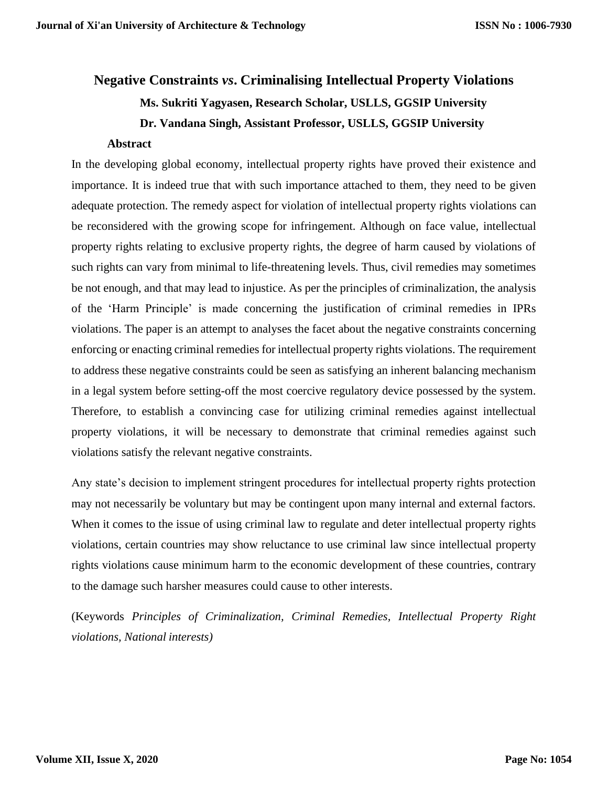# **Negative Constraints** *vs***. Criminalising Intellectual Property Violations Ms. Sukriti Yagyasen, Research Scholar, USLLS, GGSIP University Dr. Vandana Singh, Assistant Professor, USLLS, GGSIP University**

#### **Abstract**

In the developing global economy, intellectual property rights have proved their existence and importance. It is indeed true that with such importance attached to them, they need to be given adequate protection. The remedy aspect for violation of intellectual property rights violations can be reconsidered with the growing scope for infringement. Although on face value, intellectual property rights relating to exclusive property rights, the degree of harm caused by violations of such rights can vary from minimal to life-threatening levels. Thus, civil remedies may sometimes be not enough, and that may lead to injustice. As per the principles of criminalization, the analysis of the 'Harm Principle' is made concerning the justification of criminal remedies in IPRs violations. The paper is an attempt to analyses the facet about the negative constraints concerning enforcing or enacting criminal remedies for intellectual property rights violations. The requirement to address these negative constraints could be seen as satisfying an inherent balancing mechanism in a legal system before setting-off the most coercive regulatory device possessed by the system. Therefore, to establish a convincing case for utilizing criminal remedies against intellectual property violations, it will be necessary to demonstrate that criminal remedies against such violations satisfy the relevant negative constraints.

Any state's decision to implement stringent procedures for intellectual property rights protection may not necessarily be voluntary but may be contingent upon many internal and external factors. When it comes to the issue of using criminal law to regulate and deter intellectual property rights violations, certain countries may show reluctance to use criminal law since intellectual property rights violations cause minimum harm to the economic development of these countries, contrary to the damage such harsher measures could cause to other interests.

(Keywords *Principles of Criminalization, Criminal Remedies, Intellectual Property Right violations, National interests)*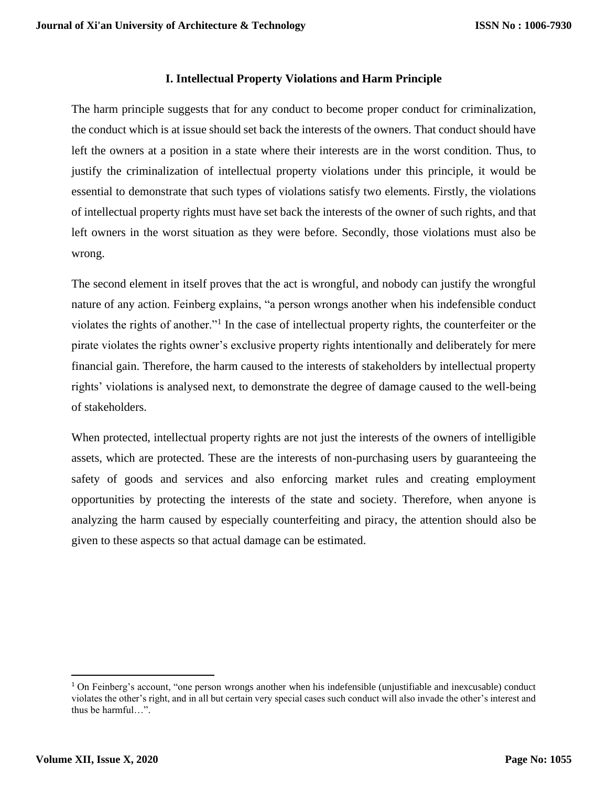#### **I. Intellectual Property Violations and Harm Principle**

The harm principle suggests that for any conduct to become proper conduct for criminalization, the conduct which is at issue should set back the interests of the owners. That conduct should have left the owners at a position in a state where their interests are in the worst condition. Thus, to justify the criminalization of intellectual property violations under this principle, it would be essential to demonstrate that such types of violations satisfy two elements. Firstly, the violations of intellectual property rights must have set back the interests of the owner of such rights, and that left owners in the worst situation as they were before. Secondly, those violations must also be wrong.

The second element in itself proves that the act is wrongful, and nobody can justify the wrongful nature of any action. Feinberg explains, "a person wrongs another when his indefensible conduct violates the rights of another."<sup>1</sup> In the case of intellectual property rights, the counterfeiter or the pirate violates the rights owner's exclusive property rights intentionally and deliberately for mere financial gain. Therefore, the harm caused to the interests of stakeholders by intellectual property rights' violations is analysed next, to demonstrate the degree of damage caused to the well-being of stakeholders.

When protected, intellectual property rights are not just the interests of the owners of intelligible assets, which are protected. These are the interests of non-purchasing users by guaranteeing the safety of goods and services and also enforcing market rules and creating employment opportunities by protecting the interests of the state and society. Therefore, when anyone is analyzing the harm caused by especially counterfeiting and piracy, the attention should also be given to these aspects so that actual damage can be estimated.

<sup>&</sup>lt;sup>1</sup> On Feinberg's account, "one person wrongs another when his indefensible (unjustifiable and inexcusable) conduct violates the other's right, and in all but certain very special cases such conduct will also invade the other's interest and thus be harmful…".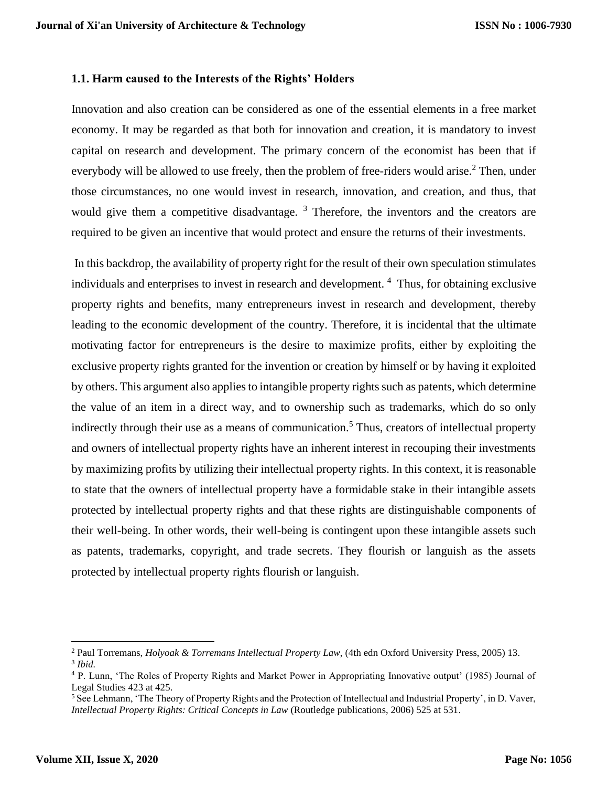#### **1.1. Harm caused to the Interests of the Rights' Holders**

Innovation and also creation can be considered as one of the essential elements in a free market economy. It may be regarded as that both for innovation and creation, it is mandatory to invest capital on research and development. The primary concern of the economist has been that if everybody will be allowed to use freely, then the problem of free-riders would arise.<sup>2</sup> Then, under those circumstances, no one would invest in research, innovation, and creation, and thus, that would give them a competitive disadvantage.  $3$  Therefore, the inventors and the creators are required to be given an incentive that would protect and ensure the returns of their investments.

In this backdrop, the availability of property right for the result of their own speculation stimulates individuals and enterprises to invest in research and development. <sup>4</sup> Thus, for obtaining exclusive property rights and benefits, many entrepreneurs invest in research and development, thereby leading to the economic development of the country. Therefore, it is incidental that the ultimate motivating factor for entrepreneurs is the desire to maximize profits, either by exploiting the exclusive property rights granted for the invention or creation by himself or by having it exploited by others. This argument also applies to intangible property rights such as patents, which determine the value of an item in a direct way, and to ownership such as trademarks, which do so only indirectly through their use as a means of communication.<sup>5</sup> Thus, creators of intellectual property and owners of intellectual property rights have an inherent interest in recouping their investments by maximizing profits by utilizing their intellectual property rights. In this context, it is reasonable to state that the owners of intellectual property have a formidable stake in their intangible assets protected by intellectual property rights and that these rights are distinguishable components of their well-being. In other words, their well-being is contingent upon these intangible assets such as patents, trademarks, copyright, and trade secrets. They flourish or languish as the assets protected by intellectual property rights flourish or languish.

<sup>2</sup> Paul Torremans, *Holyoak & Torremans Intellectual Property Law*, (4th edn Oxford University Press, 2005) 13. 3 *Ibid.*

<sup>4</sup> P. Lunn, 'The Roles of Property Rights and Market Power in Appropriating Innovative output' (1985) Journal of Legal Studies 423 at 425.

<sup>&</sup>lt;sup>5</sup> See Lehmann, 'The Theory of Property Rights and the Protection of Intellectual and Industrial Property', in D. Vaver, *Intellectual Property Rights: Critical Concepts in Law (Routledge publications, 2006) 525 at 531.*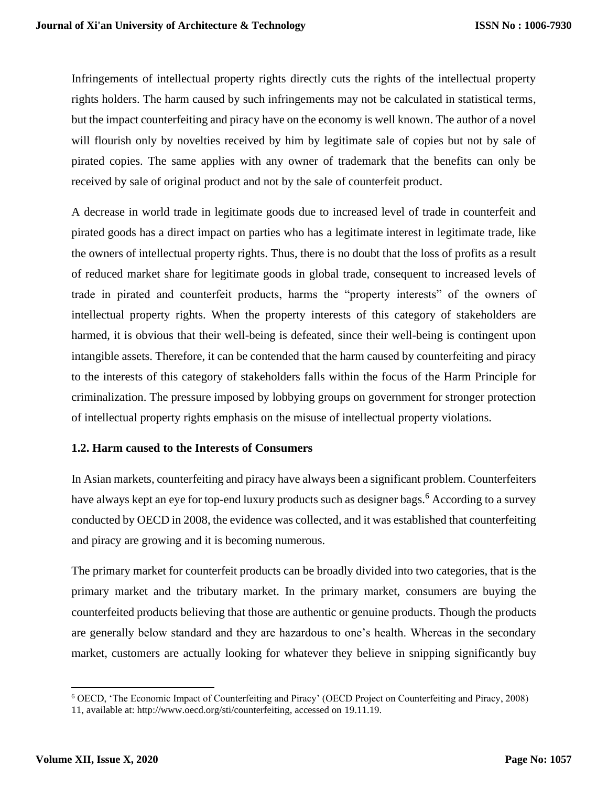Infringements of intellectual property rights directly cuts the rights of the intellectual property rights holders. The harm caused by such infringements may not be calculated in statistical terms, but the impact counterfeiting and piracy have on the economy is well known. The author of a novel will flourish only by novelties received by him by legitimate sale of copies but not by sale of pirated copies. The same applies with any owner of trademark that the benefits can only be received by sale of original product and not by the sale of counterfeit product.

A decrease in world trade in legitimate goods due to increased level of trade in counterfeit and pirated goods has a direct impact on parties who has a legitimate interest in legitimate trade, like the owners of intellectual property rights. Thus, there is no doubt that the loss of profits as a result of reduced market share for legitimate goods in global trade, consequent to increased levels of trade in pirated and counterfeit products, harms the "property interests" of the owners of intellectual property rights. When the property interests of this category of stakeholders are harmed, it is obvious that their well-being is defeated, since their well-being is contingent upon intangible assets. Therefore, it can be contended that the harm caused by counterfeiting and piracy to the interests of this category of stakeholders falls within the focus of the Harm Principle for criminalization. The pressure imposed by lobbying groups on government for stronger protection of intellectual property rights emphasis on the misuse of intellectual property violations.

# **1.2. Harm caused to the Interests of Consumers**

In Asian markets, counterfeiting and piracy have always been a significant problem. Counterfeiters have always kept an eye for top-end luxury products such as designer bags.<sup>6</sup> According to a survey conducted by OECD in 2008, the evidence was collected, and it was established that counterfeiting and piracy are growing and it is becoming numerous.

The primary market for counterfeit products can be broadly divided into two categories, that is the primary market and the tributary market. In the primary market, consumers are buying the counterfeited products believing that those are authentic or genuine products. Though the products are generally below standard and they are hazardous to one's health. Whereas in the secondary market, customers are actually looking for whatever they believe in snipping significantly buy

<sup>6</sup> OECD, 'The Economic Impact of Counterfeiting and Piracy' (OECD Project on Counterfeiting and Piracy, 2008) 11, available at: http://www.oecd.org/sti/counterfeiting, accessed on 19.11.19.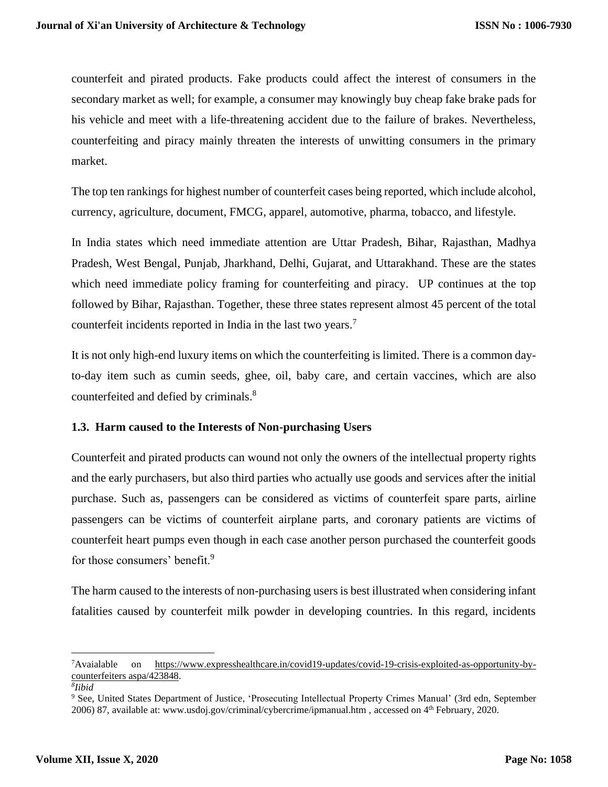counterfeit and pirated products. Fake products could affect the interest of consumers in the secondary market as well; for example, a consumer may knowingly buy cheap fake brake pads for his vehicle and meet with a life-threatening accident due to the failure of brakes. Nevertheless, counterfeiting and piracy mainly threaten the interests of unwitting consumers in the primary market.

The top ten rankings for highest number of counterfeit cases being reported, which include alcohol, currency, agriculture, document, FMCG, apparel, automotive, pharma, tobacco, and lifestyle.

In India states which need immediate attention are Uttar Pradesh, Bihar, Rajasthan, Madhya Pradesh, West Bengal, Punjab, Jharkhand, Delhi, Gujarat, and Uttarakhand. These are the states which need immediate policy framing for counterfeiting and piracy. UP continues at the top followed by Bihar, Rajasthan. Together, these three states represent almost 45 percent of the total counterfeit incidents reported in India in the last two years.<sup>7</sup>

It is not only high-end luxury items on which the counterfeiting is limited. There is a common dayto-day item such as cumin seeds, ghee, oil, baby care, and certain vaccines, which are also counterfeited and defied by criminals. 8

# **1.3. Harm caused to the Interests of Non-purchasing Users**

Counterfeit and pirated products can wound not only the owners of the intellectual property rights and the early purchasers, but also third parties who actually use goods and services after the initial purchase. Such as, passengers can be considered as victims of counterfeit spare parts, airline passengers can be victims of counterfeit airplane parts, and coronary patients are victims of counterfeit heart pumps even though in each case another person purchased the counterfeit goods for those consumers' benefit.<sup>9</sup>

The harm caused to the interests of non-purchasing users is best illustrated when considering infant fatalities caused by counterfeit milk powder in developing countries. In this regard, incidents

<sup>7</sup>Avaialable on [https://www.expresshealthcare.in/covid19-updates/covid-19-crisis-exploited-as-opportunity-by](https://www.expresshealthcare.in/covid19-updates/covid-19-crisis-exploited-as-opportunity-by-counterfeiters%20aspa/423848)[counterfeiters aspa/423848.](https://www.expresshealthcare.in/covid19-updates/covid-19-crisis-exploited-as-opportunity-by-counterfeiters%20aspa/423848)

*<sup>8</sup> Iibid*

<sup>9</sup> See, United States Department of Justice, 'Prosecuting Intellectual Property Crimes Manual' (3rd edn, September 2006) 87, available at: www.usdoj.gov/criminal/cybercrime/ipmanual.htm, accessed on 4<sup>th</sup> February, 2020.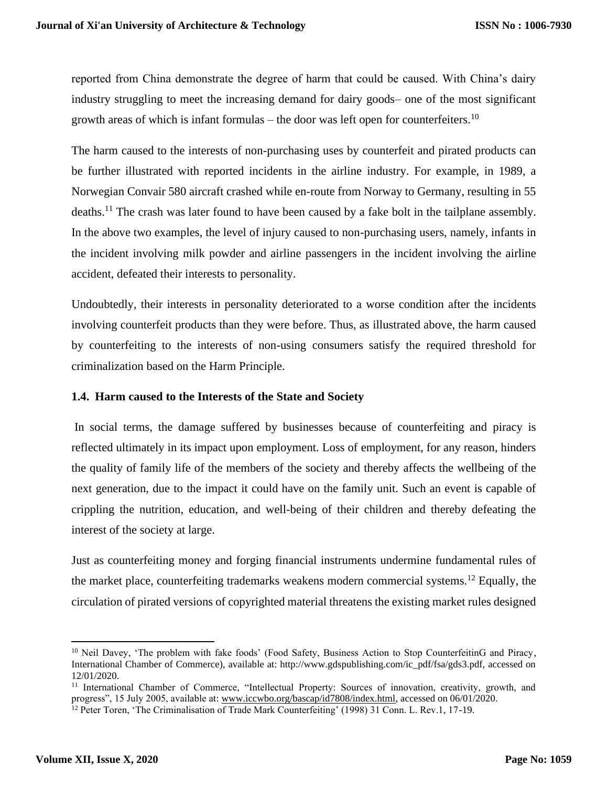reported from China demonstrate the degree of harm that could be caused. With China's dairy industry struggling to meet the increasing demand for dairy goods– one of the most significant growth areas of which is infant formulas – the door was left open for counterfeiters.<sup>10</sup>

The harm caused to the interests of non-purchasing uses by counterfeit and pirated products can be further illustrated with reported incidents in the airline industry. For example, in 1989, a Norwegian Convair 580 aircraft crashed while en-route from Norway to Germany, resulting in 55 deaths.<sup>11</sup> The crash was later found to have been caused by a fake bolt in the tailplane assembly. In the above two examples, the level of injury caused to non-purchasing users, namely, infants in the incident involving milk powder and airline passengers in the incident involving the airline accident, defeated their interests to personality.

Undoubtedly, their interests in personality deteriorated to a worse condition after the incidents involving counterfeit products than they were before. Thus, as illustrated above, the harm caused by counterfeiting to the interests of non-using consumers satisfy the required threshold for criminalization based on the Harm Principle.

# **1.4. Harm caused to the Interests of the State and Society**

In social terms, the damage suffered by businesses because of counterfeiting and piracy is reflected ultimately in its impact upon employment. Loss of employment, for any reason, hinders the quality of family life of the members of the society and thereby affects the wellbeing of the next generation, due to the impact it could have on the family unit. Such an event is capable of crippling the nutrition, education, and well-being of their children and thereby defeating the interest of the society at large.

Just as counterfeiting money and forging financial instruments undermine fundamental rules of the market place, counterfeiting trademarks weakens modern commercial systems.<sup>12</sup> Equally, the circulation of pirated versions of copyrighted material threatens the existing market rules designed

<sup>&</sup>lt;sup>10</sup> Neil Davey, 'The problem with fake foods' (Food Safety, Business Action to Stop CounterfeitinG and Piracy, International Chamber of Commerce), available at: http://www.gdspublishing.com/ic\_pdf/fsa/gds3.pdf, accessed on 12/01/2020.

<sup>&</sup>lt;sup>11</sup> International Chamber of Commerce, "Intellectual Property: Sources of innovation, creativity, growth, and progress", 15 July 2005, available at: [www.iccwbo.org/bascap/id7808/index.html,](http://www.iccwbo.org/bascap/id7808/index.html) accessed on 06/01/2020.

<sup>&</sup>lt;sup>12</sup> Peter Toren, 'The Criminalisation of Trade Mark Counterfeiting' (1998) 31 Conn. L. Rev.1, 17-19.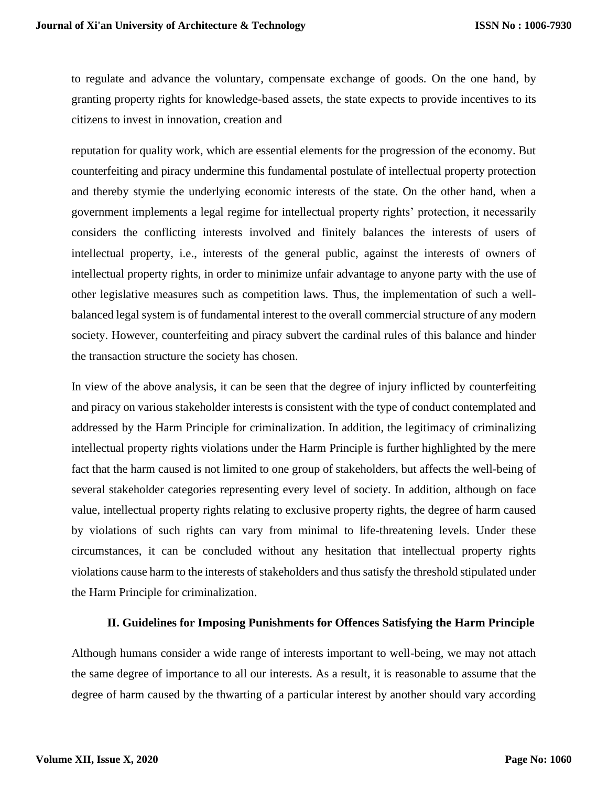to regulate and advance the voluntary, compensate exchange of goods. On the one hand, by granting property rights for knowledge-based assets, the state expects to provide incentives to its citizens to invest in innovation, creation and

reputation for quality work, which are essential elements for the progression of the economy. But counterfeiting and piracy undermine this fundamental postulate of intellectual property protection and thereby stymie the underlying economic interests of the state. On the other hand, when a government implements a legal regime for intellectual property rights' protection, it necessarily considers the conflicting interests involved and finitely balances the interests of users of intellectual property, i.e., interests of the general public, against the interests of owners of intellectual property rights, in order to minimize unfair advantage to anyone party with the use of other legislative measures such as competition laws. Thus, the implementation of such a wellbalanced legal system is of fundamental interest to the overall commercial structure of any modern society. However, counterfeiting and piracy subvert the cardinal rules of this balance and hinder the transaction structure the society has chosen.

In view of the above analysis, it can be seen that the degree of injury inflicted by counterfeiting and piracy on various stakeholder interests is consistent with the type of conduct contemplated and addressed by the Harm Principle for criminalization. In addition, the legitimacy of criminalizing intellectual property rights violations under the Harm Principle is further highlighted by the mere fact that the harm caused is not limited to one group of stakeholders, but affects the well-being of several stakeholder categories representing every level of society. In addition, although on face value, intellectual property rights relating to exclusive property rights, the degree of harm caused by violations of such rights can vary from minimal to life-threatening levels. Under these circumstances, it can be concluded without any hesitation that intellectual property rights violations cause harm to the interests of stakeholders and thus satisfy the threshold stipulated under the Harm Principle for criminalization.

# **II. Guidelines for Imposing Punishments for Offences Satisfying the Harm Principle**

Although humans consider a wide range of interests important to well-being, we may not attach the same degree of importance to all our interests. As a result, it is reasonable to assume that the degree of harm caused by the thwarting of a particular interest by another should vary according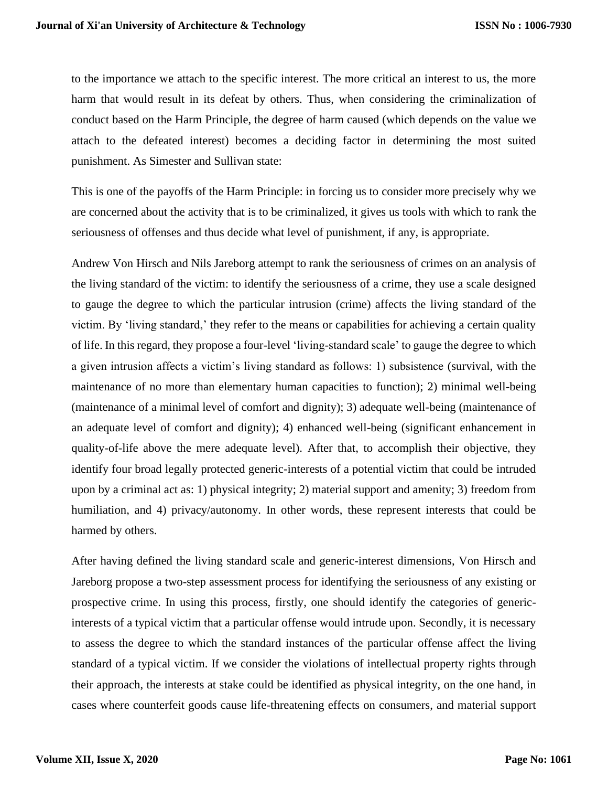to the importance we attach to the specific interest. The more critical an interest to us, the more harm that would result in its defeat by others. Thus, when considering the criminalization of conduct based on the Harm Principle, the degree of harm caused (which depends on the value we attach to the defeated interest) becomes a deciding factor in determining the most suited punishment. As Simester and Sullivan state:

This is one of the payoffs of the Harm Principle: in forcing us to consider more precisely why we are concerned about the activity that is to be criminalized, it gives us tools with which to rank the seriousness of offenses and thus decide what level of punishment, if any, is appropriate.

Andrew Von Hirsch and Nils Jareborg attempt to rank the seriousness of crimes on an analysis of the living standard of the victim: to identify the seriousness of a crime, they use a scale designed to gauge the degree to which the particular intrusion (crime) affects the living standard of the victim. By 'living standard,' they refer to the means or capabilities for achieving a certain quality of life. In this regard, they propose a four-level 'living-standard scale' to gauge the degree to which a given intrusion affects a victim's living standard as follows: 1) subsistence (survival, with the maintenance of no more than elementary human capacities to function); 2) minimal well-being (maintenance of a minimal level of comfort and dignity); 3) adequate well-being (maintenance of an adequate level of comfort and dignity); 4) enhanced well-being (significant enhancement in quality-of-life above the mere adequate level). After that, to accomplish their objective, they identify four broad legally protected generic-interests of a potential victim that could be intruded upon by a criminal act as: 1) physical integrity; 2) material support and amenity; 3) freedom from humiliation, and 4) privacy/autonomy. In other words, these represent interests that could be harmed by others.

After having defined the living standard scale and generic-interest dimensions, Von Hirsch and Jareborg propose a two-step assessment process for identifying the seriousness of any existing or prospective crime. In using this process, firstly, one should identify the categories of genericinterests of a typical victim that a particular offense would intrude upon. Secondly, it is necessary to assess the degree to which the standard instances of the particular offense affect the living standard of a typical victim. If we consider the violations of intellectual property rights through their approach, the interests at stake could be identified as physical integrity, on the one hand, in cases where counterfeit goods cause life-threatening effects on consumers, and material support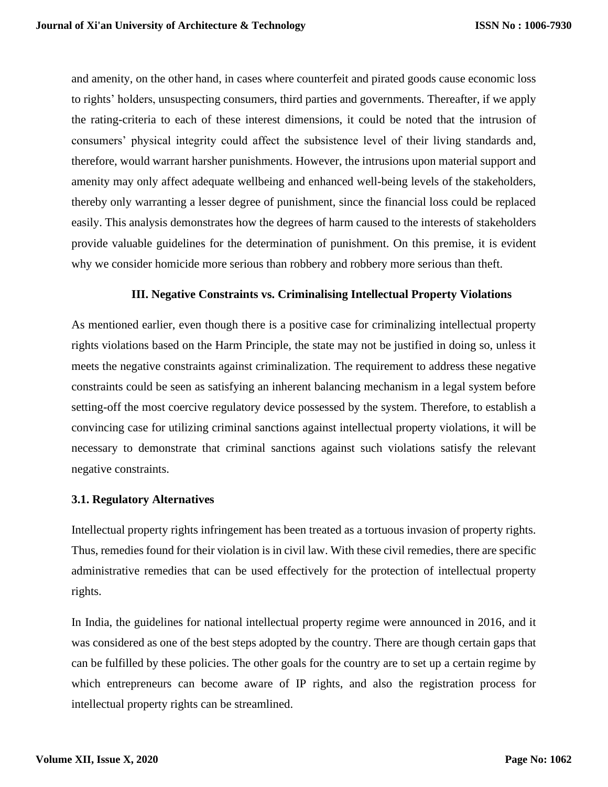and amenity, on the other hand, in cases where counterfeit and pirated goods cause economic loss to rights' holders, unsuspecting consumers, third parties and governments. Thereafter, if we apply the rating-criteria to each of these interest dimensions, it could be noted that the intrusion of consumers' physical integrity could affect the subsistence level of their living standards and, therefore, would warrant harsher punishments. However, the intrusions upon material support and amenity may only affect adequate wellbeing and enhanced well-being levels of the stakeholders, thereby only warranting a lesser degree of punishment, since the financial loss could be replaced easily. This analysis demonstrates how the degrees of harm caused to the interests of stakeholders provide valuable guidelines for the determination of punishment. On this premise, it is evident why we consider homicide more serious than robbery and robbery more serious than theft.

#### **III. Negative Constraints vs. Criminalising Intellectual Property Violations**

As mentioned earlier, even though there is a positive case for criminalizing intellectual property rights violations based on the Harm Principle, the state may not be justified in doing so, unless it meets the negative constraints against criminalization. The requirement to address these negative constraints could be seen as satisfying an inherent balancing mechanism in a legal system before setting-off the most coercive regulatory device possessed by the system. Therefore, to establish a convincing case for utilizing criminal sanctions against intellectual property violations, it will be necessary to demonstrate that criminal sanctions against such violations satisfy the relevant negative constraints.

#### **3.1. Regulatory Alternatives**

Intellectual property rights infringement has been treated as a tortuous invasion of property rights. Thus, remedies found for their violation is in civil law. With these civil remedies, there are specific administrative remedies that can be used effectively for the protection of intellectual property rights.

In India, the guidelines for national intellectual property regime were announced in 2016, and it was considered as one of the best steps adopted by the country. There are though certain gaps that can be fulfilled by these policies. The other goals for the country are to set up a certain regime by which entrepreneurs can become aware of IP rights, and also the registration process for intellectual property rights can be streamlined.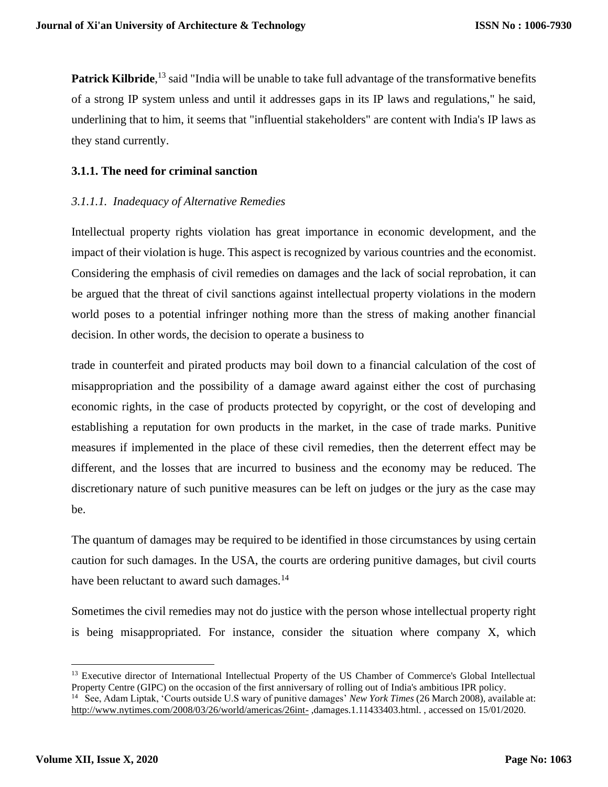Patrick Kilbride,<sup>13</sup> said "India will be unable to take full advantage of the transformative benefits of a strong IP system unless and until it addresses gaps in its IP laws and regulations," he said, underlining that to him, it seems that "influential stakeholders" are content with India's IP laws as they stand currently.

# **3.1.1. The need for criminal sanction**

# *3.1.1.1. Inadequacy of Alternative Remedies*

Intellectual property rights violation has great importance in economic development, and the impact of their violation is huge. This aspect is recognized by various countries and the economist. Considering the emphasis of civil remedies on damages and the lack of social reprobation, it can be argued that the threat of civil sanctions against intellectual property violations in the modern world poses to a potential infringer nothing more than the stress of making another financial decision. In other words, the decision to operate a business to

trade in counterfeit and pirated products may boil down to a financial calculation of the cost of misappropriation and the possibility of a damage award against either the cost of purchasing economic rights, in the case of products protected by copyright, or the cost of developing and establishing a reputation for own products in the market, in the case of trade marks. Punitive measures if implemented in the place of these civil remedies, then the deterrent effect may be different, and the losses that are incurred to business and the economy may be reduced. The discretionary nature of such punitive measures can be left on judges or the jury as the case may be.

The quantum of damages may be required to be identified in those circumstances by using certain caution for such damages. In the USA, the courts are ordering punitive damages, but civil courts have been reluctant to award such damages.<sup>14</sup>

Sometimes the civil remedies may not do justice with the person whose intellectual property right is being misappropriated. For instance, consider the situation where company X, which

<sup>&</sup>lt;sup>13</sup> Executive director of International Intellectual Property of the US Chamber of Commerce's Global Intellectual Property Centre (GIPC) on the occasion of the first anniversary of rolling out of India's ambitious IPR policy. 14 See, Adam Liptak, 'Courts outside U.S wary of punitive damages' *New York Times* (26 March 2008), available at:

<http://www.nytimes.com/2008/03/26/world/americas/26int-> ,damages.1.11433403.html. , accessed on 15/01/2020.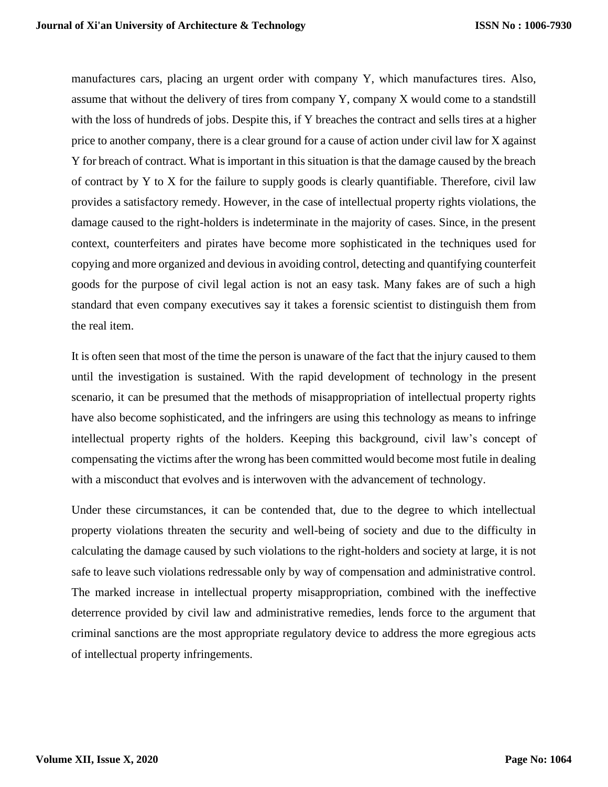manufactures cars, placing an urgent order with company Y, which manufactures tires. Also, assume that without the delivery of tires from company Y, company X would come to a standstill with the loss of hundreds of jobs. Despite this, if Y breaches the contract and sells tires at a higher price to another company, there is a clear ground for a cause of action under civil law for X against Y for breach of contract. What is important in this situation is that the damage caused by the breach of contract by Y to X for the failure to supply goods is clearly quantifiable. Therefore, civil law provides a satisfactory remedy. However, in the case of intellectual property rights violations, the damage caused to the right-holders is indeterminate in the majority of cases. Since, in the present context, counterfeiters and pirates have become more sophisticated in the techniques used for copying and more organized and devious in avoiding control, detecting and quantifying counterfeit goods for the purpose of civil legal action is not an easy task. Many fakes are of such a high standard that even company executives say it takes a forensic scientist to distinguish them from the real item.

It is often seen that most of the time the person is unaware of the fact that the injury caused to them until the investigation is sustained. With the rapid development of technology in the present scenario, it can be presumed that the methods of misappropriation of intellectual property rights have also become sophisticated, and the infringers are using this technology as means to infringe intellectual property rights of the holders. Keeping this background, civil law's concept of compensating the victims after the wrong has been committed would become most futile in dealing with a misconduct that evolves and is interwoven with the advancement of technology.

Under these circumstances, it can be contended that, due to the degree to which intellectual property violations threaten the security and well-being of society and due to the difficulty in calculating the damage caused by such violations to the right-holders and society at large, it is not safe to leave such violations redressable only by way of compensation and administrative control. The marked increase in intellectual property misappropriation, combined with the ineffective deterrence provided by civil law and administrative remedies, lends force to the argument that criminal sanctions are the most appropriate regulatory device to address the more egregious acts of intellectual property infringements.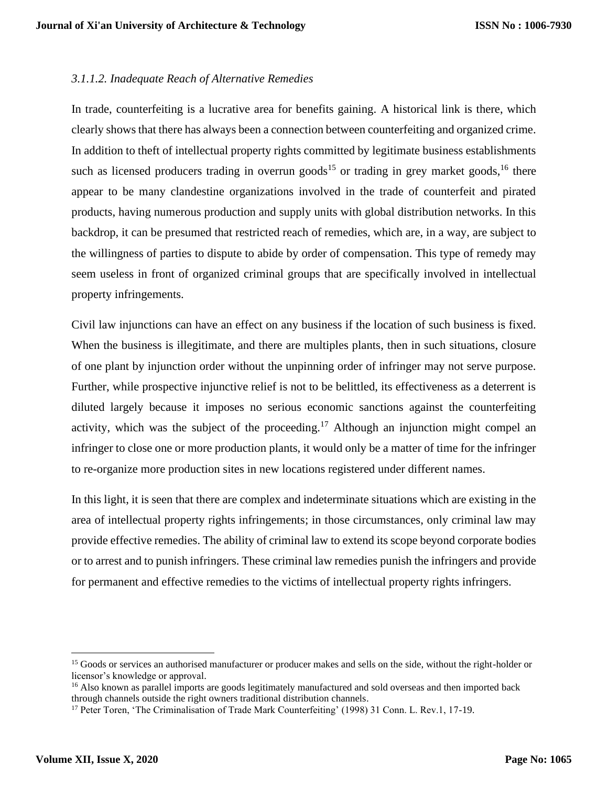# *3.1.1.2. Inadequate Reach of Alternative Remedies*

In trade, counterfeiting is a lucrative area for benefits gaining. A historical link is there, which clearly shows that there has always been a connection between counterfeiting and organized crime. In addition to theft of intellectual property rights committed by legitimate business establishments such as licensed producers trading in overrun goods<sup>15</sup> or trading in grey market goods, <sup>16</sup> there appear to be many clandestine organizations involved in the trade of counterfeit and pirated products, having numerous production and supply units with global distribution networks. In this backdrop, it can be presumed that restricted reach of remedies, which are, in a way, are subject to the willingness of parties to dispute to abide by order of compensation. This type of remedy may seem useless in front of organized criminal groups that are specifically involved in intellectual property infringements.

Civil law injunctions can have an effect on any business if the location of such business is fixed. When the business is illegitimate, and there are multiples plants, then in such situations, closure of one plant by injunction order without the unpinning order of infringer may not serve purpose. Further, while prospective injunctive relief is not to be belittled, its effectiveness as a deterrent is diluted largely because it imposes no serious economic sanctions against the counterfeiting activity, which was the subject of the proceeding.<sup>17</sup> Although an injunction might compel an infringer to close one or more production plants, it would only be a matter of time for the infringer to re-organize more production sites in new locations registered under different names.

In this light, it is seen that there are complex and indeterminate situations which are existing in the area of intellectual property rights infringements; in those circumstances, only criminal law may provide effective remedies. The ability of criminal law to extend its scope beyond corporate bodies or to arrest and to punish infringers. These criminal law remedies punish the infringers and provide for permanent and effective remedies to the victims of intellectual property rights infringers.

<sup>&</sup>lt;sup>15</sup> Goods or services an authorised manufacturer or producer makes and sells on the side, without the right-holder or licensor's knowledge or approval.

<sup>&</sup>lt;sup>16</sup> Also known as parallel imports are goods legitimately manufactured and sold overseas and then imported back through channels outside the right owners traditional distribution channels.

<sup>&</sup>lt;sup>17</sup> Peter Toren, 'The Criminalisation of Trade Mark Counterfeiting' (1998) 31 Conn. L. Rev.1, 17-19.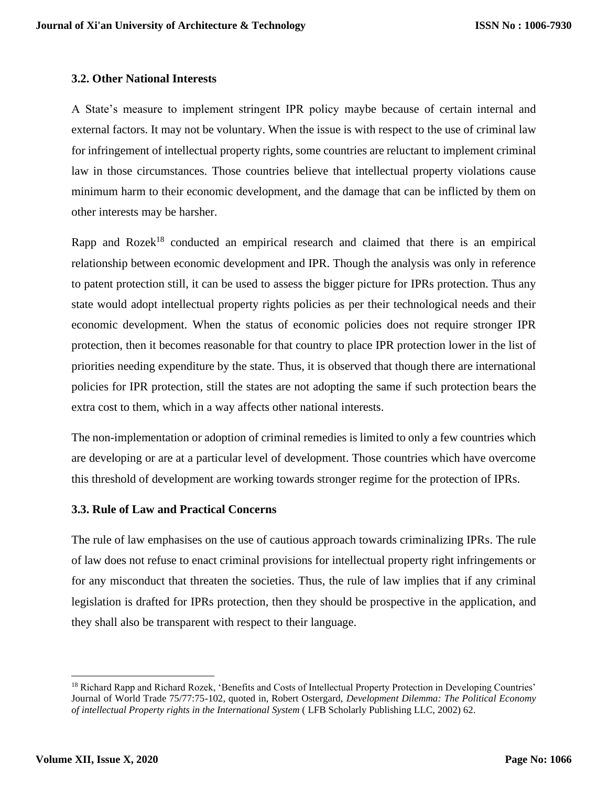#### **3.2. Other National Interests**

A State's measure to implement stringent IPR policy maybe because of certain internal and external factors. It may not be voluntary. When the issue is with respect to the use of criminal law for infringement of intellectual property rights, some countries are reluctant to implement criminal law in those circumstances. Those countries believe that intellectual property violations cause minimum harm to their economic development, and the damage that can be inflicted by them on other interests may be harsher.

Rapp and Rozek<sup>18</sup> conducted an empirical research and claimed that there is an empirical relationship between economic development and IPR. Though the analysis was only in reference to patent protection still, it can be used to assess the bigger picture for IPRs protection. Thus any state would adopt intellectual property rights policies as per their technological needs and their economic development. When the status of economic policies does not require stronger IPR protection, then it becomes reasonable for that country to place IPR protection lower in the list of priorities needing expenditure by the state. Thus, it is observed that though there are international policies for IPR protection, still the states are not adopting the same if such protection bears the extra cost to them, which in a way affects other national interests.

The non-implementation or adoption of criminal remedies is limited to only a few countries which are developing or are at a particular level of development. Those countries which have overcome this threshold of development are working towards stronger regime for the protection of IPRs.

# **3.3. Rule of Law and Practical Concerns**

The rule of law emphasises on the use of cautious approach towards criminalizing IPRs. The rule of law does not refuse to enact criminal provisions for intellectual property right infringements or for any misconduct that threaten the societies. Thus, the rule of law implies that if any criminal legislation is drafted for IPRs protection, then they should be prospective in the application, and they shall also be transparent with respect to their language.

<sup>&</sup>lt;sup>18</sup> Richard Rapp and Richard Rozek, 'Benefits and Costs of Intellectual Property Protection in Developing Countries' Journal of World Trade 75/77:75-102, quoted in, Robert Ostergard, *Development Dilemma: The Political Economy of intellectual Property rights in the International System* ( LFB Scholarly Publishing LLC, 2002) 62.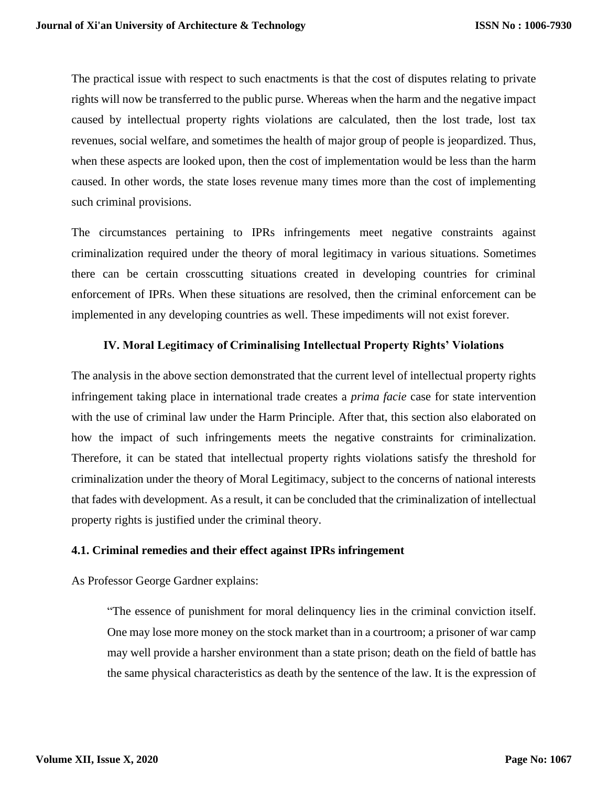The practical issue with respect to such enactments is that the cost of disputes relating to private rights will now be transferred to the public purse. Whereas when the harm and the negative impact caused by intellectual property rights violations are calculated, then the lost trade, lost tax revenues, social welfare, and sometimes the health of major group of people is jeopardized. Thus, when these aspects are looked upon, then the cost of implementation would be less than the harm caused. In other words, the state loses revenue many times more than the cost of implementing such criminal provisions.

The circumstances pertaining to IPRs infringements meet negative constraints against criminalization required under the theory of moral legitimacy in various situations. Sometimes there can be certain crosscutting situations created in developing countries for criminal enforcement of IPRs. When these situations are resolved, then the criminal enforcement can be implemented in any developing countries as well. These impediments will not exist forever.

# **IV. Moral Legitimacy of Criminalising Intellectual Property Rights' Violations**

The analysis in the above section demonstrated that the current level of intellectual property rights infringement taking place in international trade creates a *prima facie* case for state intervention with the use of criminal law under the Harm Principle. After that, this section also elaborated on how the impact of such infringements meets the negative constraints for criminalization. Therefore, it can be stated that intellectual property rights violations satisfy the threshold for criminalization under the theory of Moral Legitimacy, subject to the concerns of national interests that fades with development. As a result, it can be concluded that the criminalization of intellectual property rights is justified under the criminal theory.

#### **4.1. Criminal remedies and their effect against IPRs infringement**

As Professor George Gardner explains:

"The essence of punishment for moral delinquency lies in the criminal conviction itself. One may lose more money on the stock market than in a courtroom; a prisoner of war camp may well provide a harsher environment than a state prison; death on the field of battle has the same physical characteristics as death by the sentence of the law. It is the expression of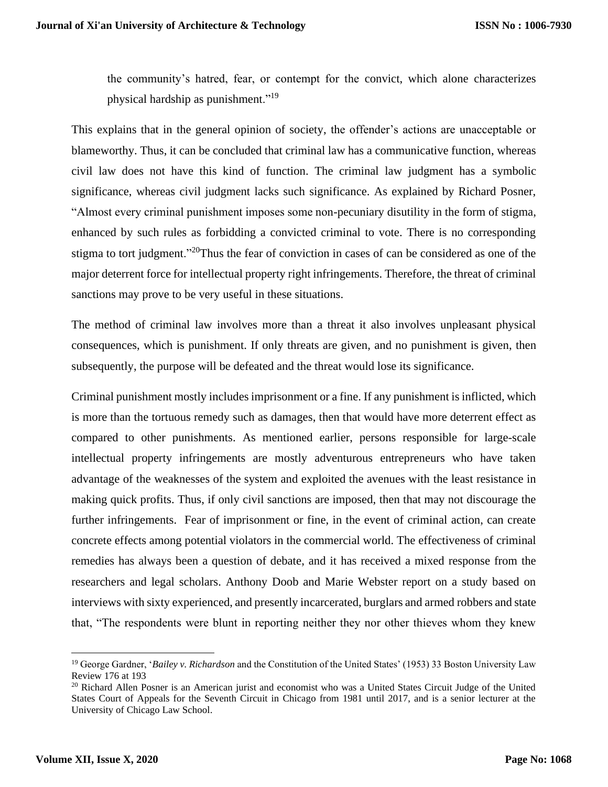the community's hatred, fear, or contempt for the convict, which alone characterizes physical hardship as punishment."<sup>19</sup>

This explains that in the general opinion of society, the offender's actions are unacceptable or blameworthy. Thus, it can be concluded that criminal law has a communicative function, whereas civil law does not have this kind of function. The criminal law judgment has a symbolic significance, whereas civil judgment lacks such significance. As explained by Richard Posner, "Almost every criminal punishment imposes some non-pecuniary disutility in the form of stigma, enhanced by such rules as forbidding a convicted criminal to vote. There is no corresponding stigma to tort judgment."<sup>20</sup>Thus the fear of conviction in cases of can be considered as one of the major deterrent force for intellectual property right infringements. Therefore, the threat of criminal sanctions may prove to be very useful in these situations.

The method of criminal law involves more than a threat it also involves unpleasant physical consequences, which is punishment. If only threats are given, and no punishment is given, then subsequently, the purpose will be defeated and the threat would lose its significance.

Criminal punishment mostly includes imprisonment or a fine. If any punishment is inflicted, which is more than the tortuous remedy such as damages, then that would have more deterrent effect as compared to other punishments. As mentioned earlier, persons responsible for large-scale intellectual property infringements are mostly adventurous entrepreneurs who have taken advantage of the weaknesses of the system and exploited the avenues with the least resistance in making quick profits. Thus, if only civil sanctions are imposed, then that may not discourage the further infringements. Fear of imprisonment or fine, in the event of criminal action, can create concrete effects among potential violators in the commercial world. The effectiveness of criminal remedies has always been a question of debate, and it has received a mixed response from the researchers and legal scholars. Anthony Doob and Marie Webster report on a study based on interviews with sixty experienced, and presently incarcerated, burglars and armed robbers and state that, "The respondents were blunt in reporting neither they nor other thieves whom they knew

<sup>19</sup> George Gardner, '*Bailey v. Richardson* and the Constitution of the United States' (1953) 33 Boston University Law Review 176 at 193

<sup>&</sup>lt;sup>20</sup> Richard Allen Posner is an American jurist and economist who was a United States Circuit Judge of the United States Court of Appeals for the Seventh Circuit in Chicago from 1981 until 2017, and is a senior lecturer at the University of Chicago Law School.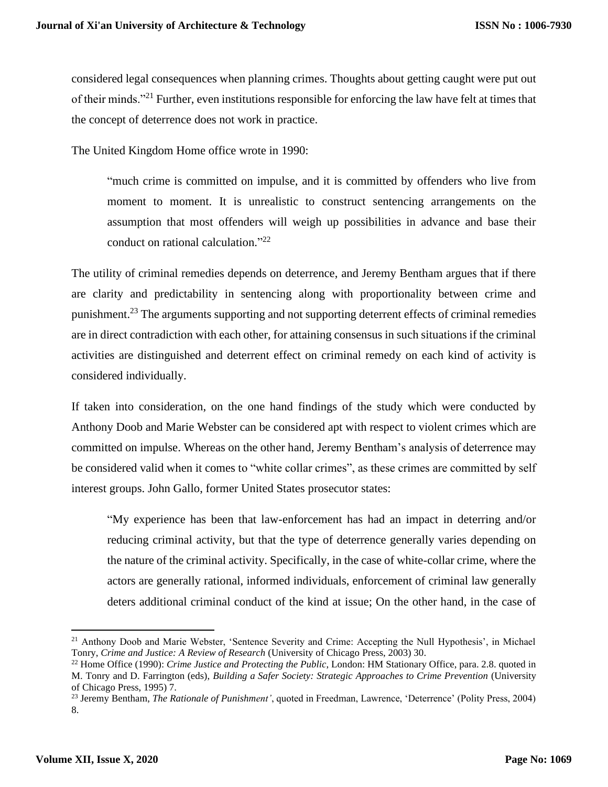considered legal consequences when planning crimes. Thoughts about getting caught were put out of their minds."<sup>21</sup> Further, even institutions responsible for enforcing the law have felt at times that the concept of deterrence does not work in practice.

The United Kingdom Home office wrote in 1990:

"much crime is committed on impulse, and it is committed by offenders who live from moment to moment. It is unrealistic to construct sentencing arrangements on the assumption that most offenders will weigh up possibilities in advance and base their conduct on rational calculation." 22

The utility of criminal remedies depends on deterrence, and Jeremy Bentham argues that if there are clarity and predictability in sentencing along with proportionality between crime and punishment.<sup>23</sup> The arguments supporting and not supporting deterrent effects of criminal remedies are in direct contradiction with each other, for attaining consensus in such situations if the criminal activities are distinguished and deterrent effect on criminal remedy on each kind of activity is considered individually.

If taken into consideration, on the one hand findings of the study which were conducted by Anthony Doob and Marie Webster can be considered apt with respect to violent crimes which are committed on impulse. Whereas on the other hand, Jeremy Bentham's analysis of deterrence may be considered valid when it comes to "white collar crimes", as these crimes are committed by self interest groups. John Gallo, former United States prosecutor states:

"My experience has been that law-enforcement has had an impact in deterring and/or reducing criminal activity, but that the type of deterrence generally varies depending on the nature of the criminal activity. Specifically, in the case of white-collar crime, where the actors are generally rational, informed individuals, enforcement of criminal law generally deters additional criminal conduct of the kind at issue; On the other hand, in the case of

<sup>&</sup>lt;sup>21</sup> Anthony Doob and Marie Webster, 'Sentence Severity and Crime: Accepting the Null Hypothesis', in Michael Tonry, *Crime and Justice: A Review of Research* (University of Chicago Press, 2003) 30.

<sup>22</sup> Home Office (1990): *Crime Justice and Protecting the Public*, London: HM Stationary Office, para. 2.8. quoted in M. Tonry and D. Farrington (eds), *Building a Safer Society: Strategic Approaches to Crime Prevention* (University of Chicago Press, 1995) 7.

<sup>23</sup> Jeremy Bentham, *The Rationale of Punishment'*, quoted in Freedman, Lawrence, 'Deterrence' (Polity Press, 2004) 8.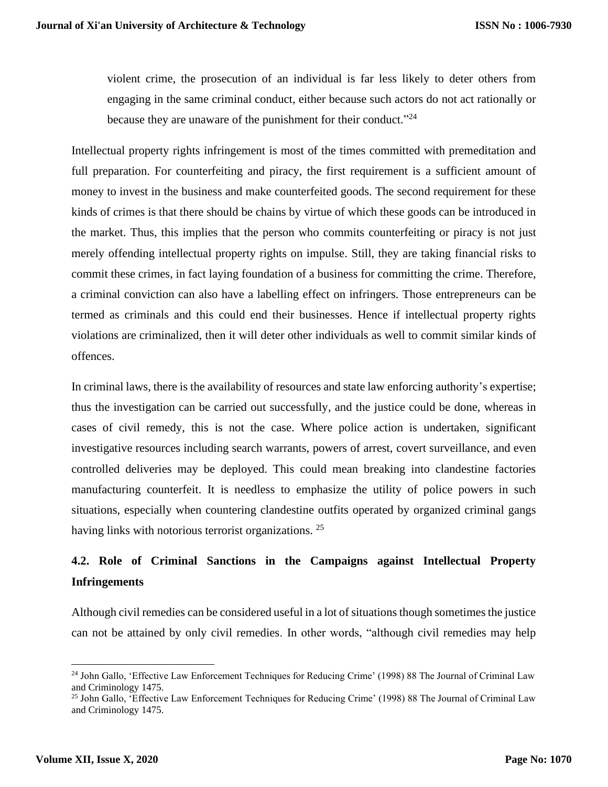violent crime, the prosecution of an individual is far less likely to deter others from engaging in the same criminal conduct, either because such actors do not act rationally or because they are unaware of the punishment for their conduct."<sup>24</sup>

Intellectual property rights infringement is most of the times committed with premeditation and full preparation. For counterfeiting and piracy, the first requirement is a sufficient amount of money to invest in the business and make counterfeited goods. The second requirement for these kinds of crimes is that there should be chains by virtue of which these goods can be introduced in the market. Thus, this implies that the person who commits counterfeiting or piracy is not just merely offending intellectual property rights on impulse. Still, they are taking financial risks to commit these crimes, in fact laying foundation of a business for committing the crime. Therefore, a criminal conviction can also have a labelling effect on infringers. Those entrepreneurs can be termed as criminals and this could end their businesses. Hence if intellectual property rights violations are criminalized, then it will deter other individuals as well to commit similar kinds of offences.

In criminal laws, there is the availability of resources and state law enforcing authority's expertise; thus the investigation can be carried out successfully, and the justice could be done, whereas in cases of civil remedy, this is not the case. Where police action is undertaken, significant investigative resources including search warrants, powers of arrest, covert surveillance, and even controlled deliveries may be deployed. This could mean breaking into clandestine factories manufacturing counterfeit. It is needless to emphasize the utility of police powers in such situations, especially when countering clandestine outfits operated by organized criminal gangs having links with notorious terrorist organizations.<sup>25</sup>

# **4.2. Role of Criminal Sanctions in the Campaigns against Intellectual Property Infringements**

Although civil remedies can be considered useful in a lot of situations though sometimes the justice can not be attained by only civil remedies. In other words, "although civil remedies may help

<sup>&</sup>lt;sup>24</sup> John Gallo, 'Effective Law Enforcement Techniques for Reducing Crime' (1998) 88 The Journal of Criminal Law and Criminology 1475.

<sup>&</sup>lt;sup>25</sup> John Gallo, 'Effective Law Enforcement Techniques for Reducing Crime' (1998) 88 The Journal of Criminal Law and Criminology 1475.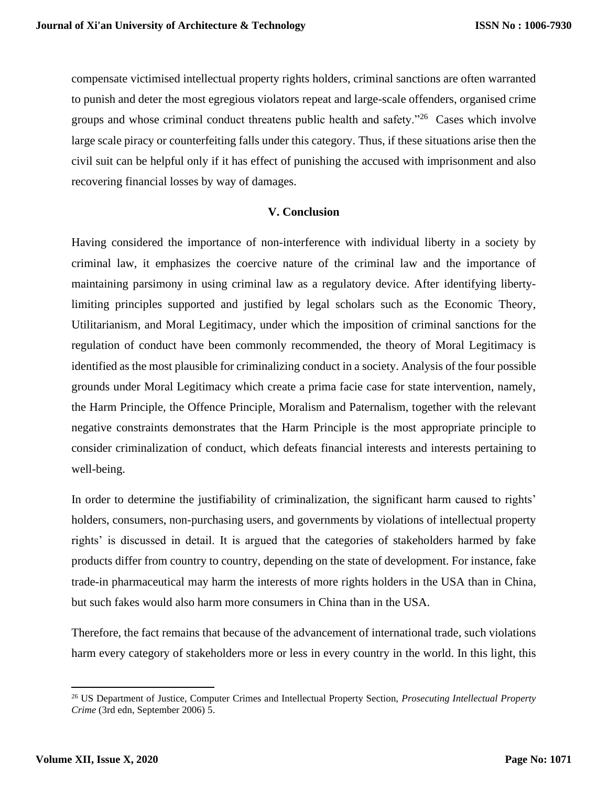compensate victimised intellectual property rights holders, criminal sanctions are often warranted to punish and deter the most egregious violators repeat and large-scale offenders, organised crime groups and whose criminal conduct threatens public health and safety."<sup>26</sup> Cases which involve large scale piracy or counterfeiting falls under this category. Thus, if these situations arise then the civil suit can be helpful only if it has effect of punishing the accused with imprisonment and also recovering financial losses by way of damages.

# **V. Conclusion**

Having considered the importance of non-interference with individual liberty in a society by criminal law, it emphasizes the coercive nature of the criminal law and the importance of maintaining parsimony in using criminal law as a regulatory device. After identifying libertylimiting principles supported and justified by legal scholars such as the Economic Theory, Utilitarianism, and Moral Legitimacy, under which the imposition of criminal sanctions for the regulation of conduct have been commonly recommended, the theory of Moral Legitimacy is identified as the most plausible for criminalizing conduct in a society. Analysis of the four possible grounds under Moral Legitimacy which create a prima facie case for state intervention, namely, the Harm Principle, the Offence Principle, Moralism and Paternalism, together with the relevant negative constraints demonstrates that the Harm Principle is the most appropriate principle to consider criminalization of conduct, which defeats financial interests and interests pertaining to well-being.

In order to determine the justifiability of criminalization, the significant harm caused to rights' holders, consumers, non-purchasing users, and governments by violations of intellectual property rights' is discussed in detail. It is argued that the categories of stakeholders harmed by fake products differ from country to country, depending on the state of development. For instance, fake trade-in pharmaceutical may harm the interests of more rights holders in the USA than in China, but such fakes would also harm more consumers in China than in the USA.

Therefore, the fact remains that because of the advancement of international trade, such violations harm every category of stakeholders more or less in every country in the world. In this light, this

<sup>26</sup> US Department of Justice, Computer Crimes and Intellectual Property Section, *Prosecuting Intellectual Property Crime* (3rd edn, September 2006) 5.